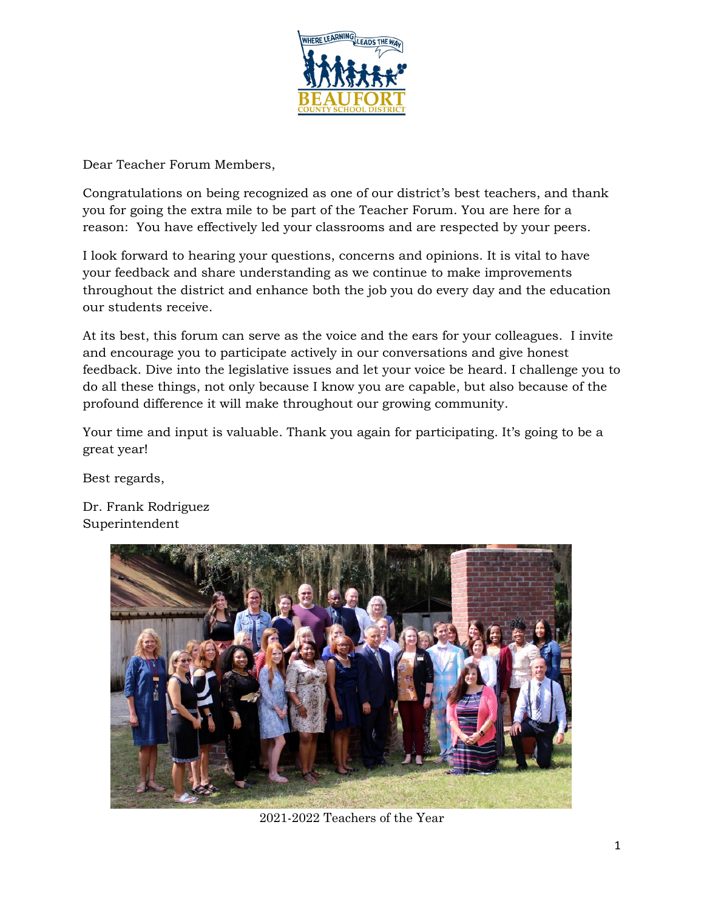

Dear Teacher Forum Members,

Congratulations on being recognized as one of our district's best teachers, and thank you for going the extra mile to be part of the Teacher Forum. You are here for a reason: You have effectively led your classrooms and are respected by your peers.

I look forward to hearing your questions, concerns and opinions. It is vital to have your feedback and share understanding as we continue to make improvements throughout the district and enhance both the job you do every day and the education our students receive.

At its best, this forum can serve as the voice and the ears for your colleagues. I invite and encourage you to participate actively in our conversations and give honest feedback. Dive into the legislative issues and let your voice be heard. I challenge you to do all these things, not only because I know you are capable, but also because of the profound difference it will make throughout our growing community.

Your time and input is valuable. Thank you again for participating. It's going to be a great year!

Best regards,

Dr. Frank Rodriguez Superintendent



2021-2022 Teachers of the Year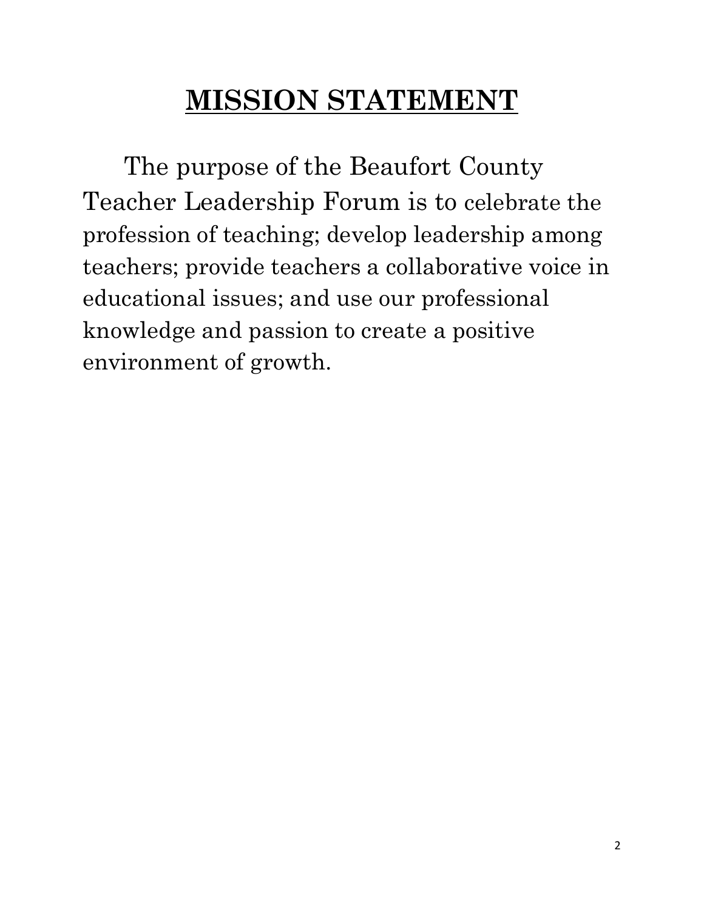## **MISSION STATEMENT**

The purpose of the Beaufort County Teacher Leadership Forum is to celebrate the profession of teaching; develop leadership among teachers; provide teachers a collaborative voice in educational issues; and use our professional knowledge and passion to create a positive environment of growth.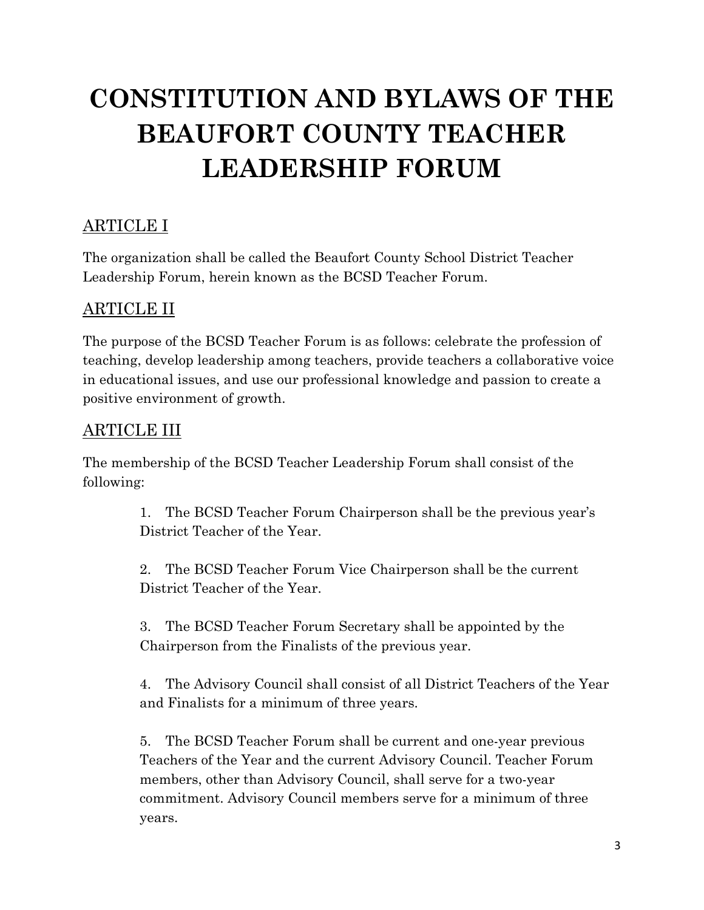## **CONSTITUTION AND BYLAWS OF THE BEAUFORT COUNTY TEACHER LEADERSHIP FORUM**

#### ARTICLE I

The organization shall be called the Beaufort County School District Teacher Leadership Forum, herein known as the BCSD Teacher Forum.

#### ARTICLE II

The purpose of the BCSD Teacher Forum is as follows: celebrate the profession of teaching, develop leadership among teachers, provide teachers a collaborative voice in educational issues, and use our professional knowledge and passion to create a positive environment of growth.

#### ARTICLE III

The membership of the BCSD Teacher Leadership Forum shall consist of the following:

> 1. The BCSD Teacher Forum Chairperson shall be the previous year's District Teacher of the Year.

2. The BCSD Teacher Forum Vice Chairperson shall be the current District Teacher of the Year.

3. The BCSD Teacher Forum Secretary shall be appointed by the Chairperson from the Finalists of the previous year.

4. The Advisory Council shall consist of all District Teachers of the Year and Finalists for a minimum of three years.

5. The BCSD Teacher Forum shall be current and one-year previous Teachers of the Year and the current Advisory Council. Teacher Forum members, other than Advisory Council, shall serve for a two-year commitment. Advisory Council members serve for a minimum of three years.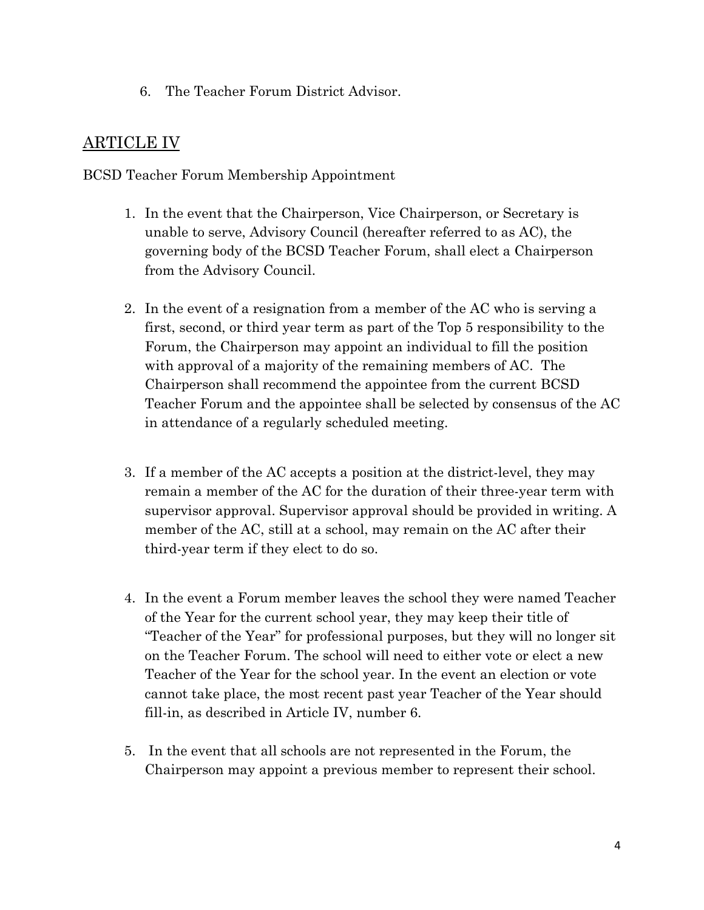6. The Teacher Forum District Advisor.

#### ARTICLE IV

BCSD Teacher Forum Membership Appointment

- 1. In the event that the Chairperson, Vice Chairperson, or Secretary is unable to serve, Advisory Council (hereafter referred to as AC), the governing body of the BCSD Teacher Forum, shall elect a Chairperson from the Advisory Council.
- 2. In the event of a resignation from a member of the AC who is serving a first, second, or third year term as part of the Top 5 responsibility to the Forum, the Chairperson may appoint an individual to fill the position with approval of a majority of the remaining members of AC. The Chairperson shall recommend the appointee from the current BCSD Teacher Forum and the appointee shall be selected by consensus of the AC in attendance of a regularly scheduled meeting.
- 3. If a member of the AC accepts a position at the district-level, they may remain a member of the AC for the duration of their three-year term with supervisor approval. Supervisor approval should be provided in writing. A member of the AC, still at a school, may remain on the AC after their third-year term if they elect to do so.
- 4. In the event a Forum member leaves the school they were named Teacher of the Year for the current school year, they may keep their title of "Teacher of the Year" for professional purposes, but they will no longer sit on the Teacher Forum. The school will need to either vote or elect a new Teacher of the Year for the school year. In the event an election or vote cannot take place, the most recent past year Teacher of the Year should fill-in, as described in Article IV, number 6.
- 5. In the event that all schools are not represented in the Forum, the Chairperson may appoint a previous member to represent their school.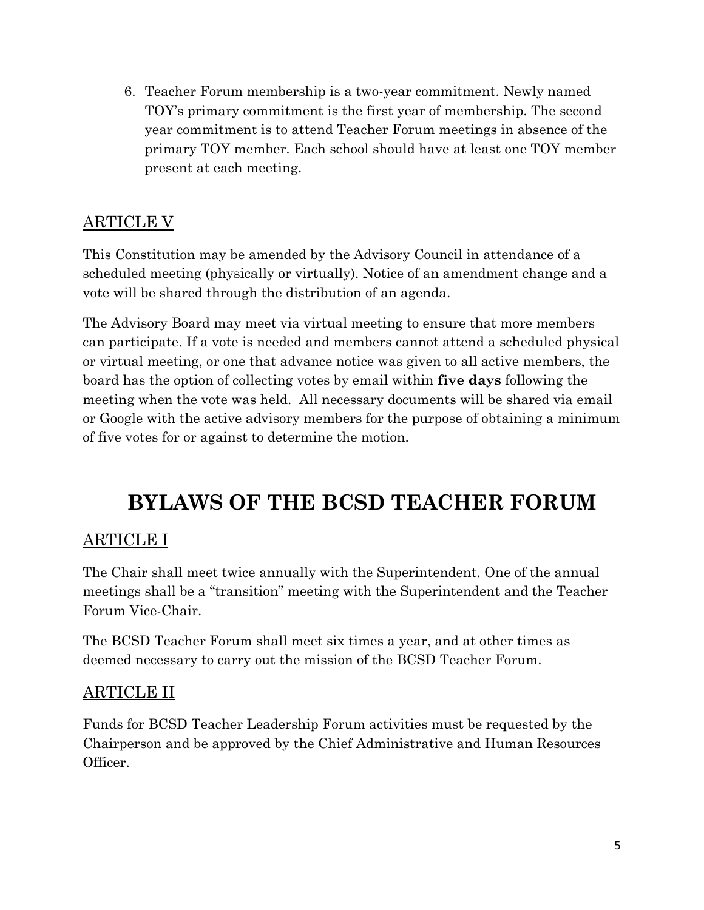6. Teacher Forum membership is a two-year commitment. Newly named TOY's primary commitment is the first year of membership. The second year commitment is to attend Teacher Forum meetings in absence of the primary TOY member. Each school should have at least one TOY member present at each meeting.

#### ARTICLE V

This Constitution may be amended by the Advisory Council in attendance of a scheduled meeting (physically or virtually). Notice of an amendment change and a vote will be shared through the distribution of an agenda.

The Advisory Board may meet via virtual meeting to ensure that more members can participate. If a vote is needed and members cannot attend a scheduled physical or virtual meeting, or one that advance notice was given to all active members, the board has the option of collecting votes by email within **five days** following the meeting when the vote was held. All necessary documents will be shared via email or Google with the active advisory members for the purpose of obtaining a minimum of five votes for or against to determine the motion.

### **BYLAWS OF THE BCSD TEACHER FORUM**

#### ARTICLE I

The Chair shall meet twice annually with the Superintendent. One of the annual meetings shall be a "transition" meeting with the Superintendent and the Teacher Forum Vice-Chair.

The BCSD Teacher Forum shall meet six times a year, and at other times as deemed necessary to carry out the mission of the BCSD Teacher Forum.

#### ARTICLE II

Funds for BCSD Teacher Leadership Forum activities must be requested by the Chairperson and be approved by the Chief Administrative and Human Resources Officer.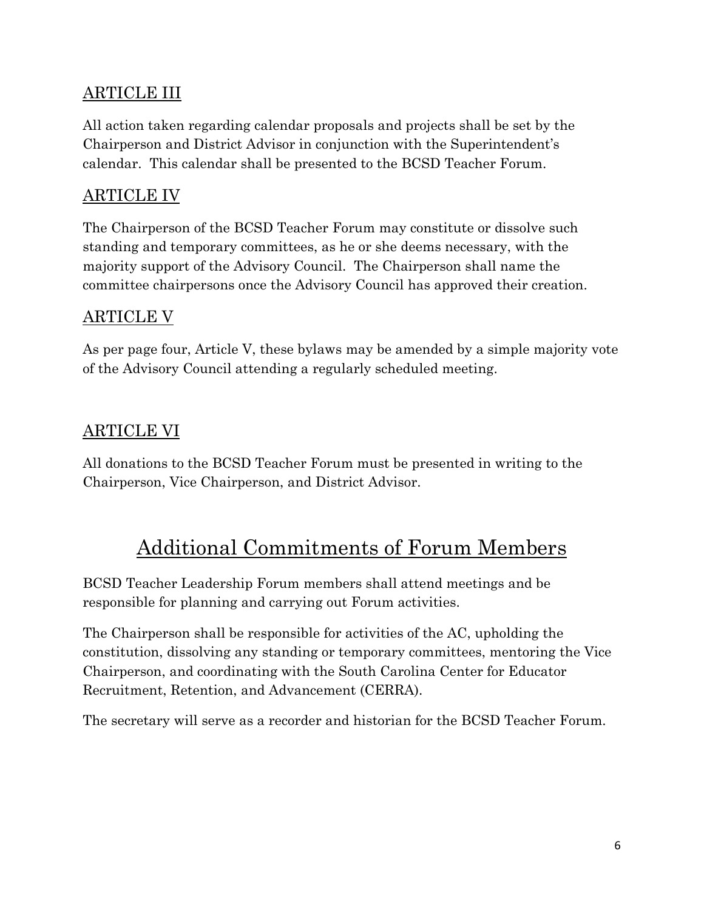#### ARTICLE III

All action taken regarding calendar proposals and projects shall be set by the Chairperson and District Advisor in conjunction with the Superintendent's calendar. This calendar shall be presented to the BCSD Teacher Forum.

#### ARTICLE IV

The Chairperson of the BCSD Teacher Forum may constitute or dissolve such standing and temporary committees, as he or she deems necessary, with the majority support of the Advisory Council. The Chairperson shall name the committee chairpersons once the Advisory Council has approved their creation.

#### ARTICLE V

As per page four, Article V, these bylaws may be amended by a simple majority vote of the Advisory Council attending a regularly scheduled meeting.

#### ARTICLE VI

All donations to the BCSD Teacher Forum must be presented in writing to the Chairperson, Vice Chairperson, and District Advisor.

### Additional Commitments of Forum Members

BCSD Teacher Leadership Forum members shall attend meetings and be responsible for planning and carrying out Forum activities.

The Chairperson shall be responsible for activities of the AC, upholding the constitution, dissolving any standing or temporary committees, mentoring the Vice Chairperson, and coordinating with the South Carolina Center for Educator Recruitment, Retention, and Advancement (CERRA).

The secretary will serve as a recorder and historian for the BCSD Teacher Forum.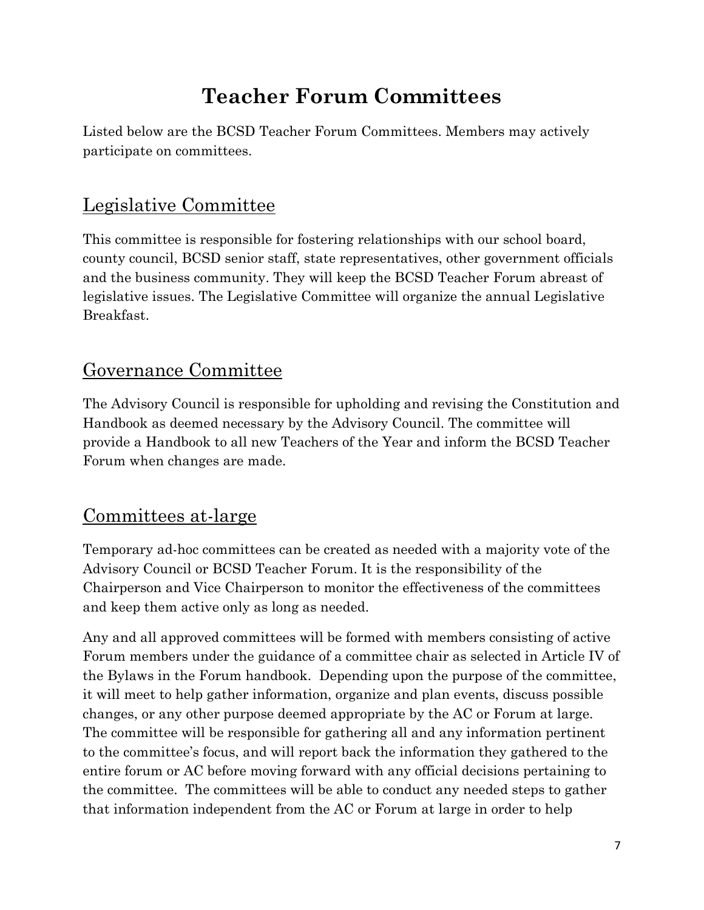## **Teacher Forum Committees**

Listed below are the BCSD Teacher Forum Committees. Members may actively participate on committees.

### Legislative Committee

This committee is responsible for fostering relationships with our school board, county council, BCSD senior staff, state representatives, other government officials and the business community. They will keep the BCSD Teacher Forum abreast of legislative issues. The Legislative Committee will organize the annual Legislative Breakfast.

#### Governance Committee

The Advisory Council is responsible for upholding and revising the Constitution and Handbook as deemed necessary by the Advisory Council. The committee will provide a Handbook to all new Teachers of the Year and inform the BCSD Teacher Forum when changes are made.

### Committees at-large

Temporary ad-hoc committees can be created as needed with a majority vote of the Advisory Council or BCSD Teacher Forum. It is the responsibility of the Chairperson and Vice Chairperson to monitor the effectiveness of the committees and keep them active only as long as needed.

Any and all approved committees will be formed with members consisting of active Forum members under the guidance of a committee chair as selected in Article IV of the Bylaws in the Forum handbook. Depending upon the purpose of the committee, it will meet to help gather information, organize and plan events, discuss possible changes, or any other purpose deemed appropriate by the AC or Forum at large. The committee will be responsible for gathering all and any information pertinent to the committee's focus, and will report back the information they gathered to the entire forum or AC before moving forward with any official decisions pertaining to the committee. The committees will be able to conduct any needed steps to gather that information independent from the AC or Forum at large in order to help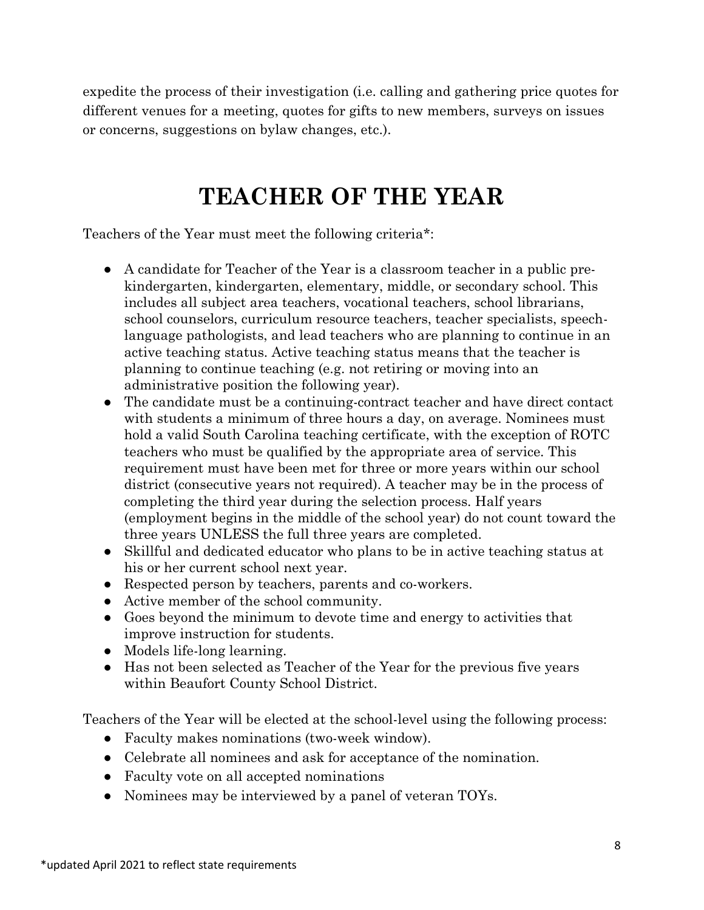expedite the process of their investigation (i.e. calling and gathering price quotes for different venues for a meeting, quotes for gifts to new members, surveys on issues or concerns, suggestions on bylaw changes, etc.).

## **TEACHER OF THE YEAR**

Teachers of the Year must meet the following criteria\*:

- A candidate for Teacher of the Year is a classroom teacher in a public prekindergarten, kindergarten, elementary, middle, or secondary school. This includes all subject area teachers, vocational teachers, school librarians, school counselors, curriculum resource teachers, teacher specialists, speechlanguage pathologists, and lead teachers who are planning to continue in an active teaching status. Active teaching status means that the teacher is planning to continue teaching (e.g. not retiring or moving into an administrative position the following year).
- The candidate must be a continuing-contract teacher and have direct contact with students a minimum of three hours a day, on average. Nominees must hold a valid South Carolina teaching certificate, with the exception of ROTC teachers who must be qualified by the appropriate area of service. This requirement must have been met for three or more years within our school district (consecutive years not required). A teacher may be in the process of completing the third year during the selection process. Half years (employment begins in the middle of the school year) do not count toward the three years UNLESS the full three years are completed.
- Skillful and dedicated educator who plans to be in active teaching status at his or her current school next year.
- Respected person by teachers, parents and co-workers.
- Active member of the school community.
- Goes beyond the minimum to devote time and energy to activities that improve instruction for students.
- Models life-long learning.
- Has not been selected as Teacher of the Year for the previous five years within Beaufort County School District.

Teachers of the Year will be elected at the school-level using the following process:

- Faculty makes nominations (two-week window).
- Celebrate all nominees and ask for acceptance of the nomination.
- Faculty vote on all accepted nominations
- Nominees may be interviewed by a panel of veteran TOYs.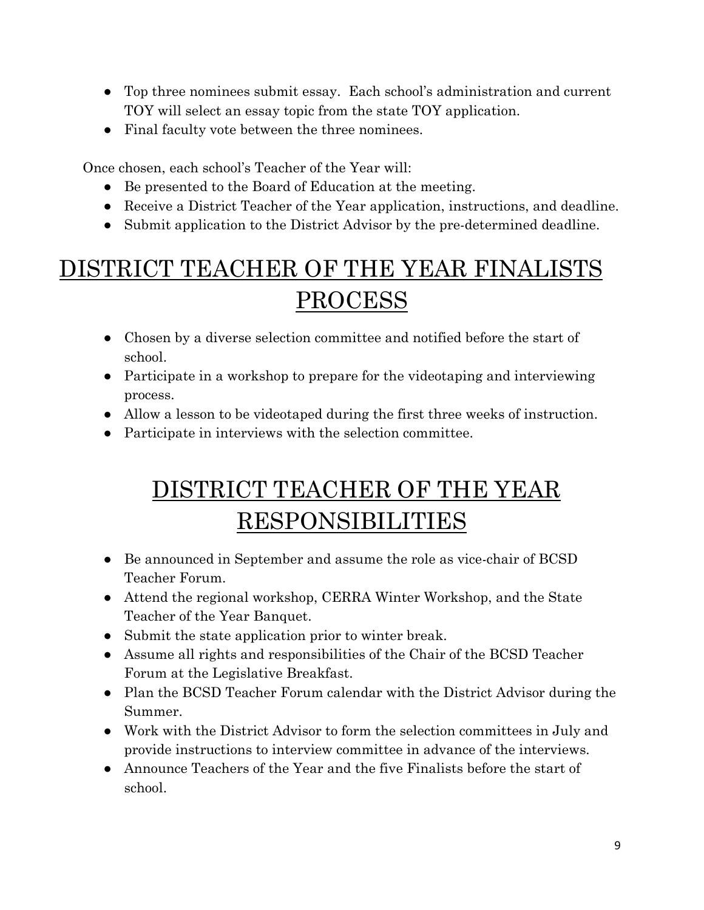- Top three nominees submit essay. Each school's administration and current TOY will select an essay topic from the state TOY application.
- Final faculty vote between the three nominees.

Once chosen, each school's Teacher of the Year will:

- Be presented to the Board of Education at the meeting.
- Receive a District Teacher of the Year application, instructions, and deadline.
- Submit application to the District Advisor by the pre-determined deadline.

## DISTRICT TEACHER OF THE YEAR FINALISTS PROCESS

- Chosen by a diverse selection committee and notified before the start of school.
- Participate in a workshop to prepare for the videotaping and interviewing process.
- Allow a lesson to be videotaped during the first three weeks of instruction.
- Participate in interviews with the selection committee.

## DISTRICT TEACHER OF THE YEAR RESPONSIBILITIES

- Be announced in September and assume the role as vice-chair of BCSD Teacher Forum.
- Attend the regional workshop, CERRA Winter Workshop, and the State Teacher of the Year Banquet.
- Submit the state application prior to winter break.
- Assume all rights and responsibilities of the Chair of the BCSD Teacher Forum at the Legislative Breakfast.
- Plan the BCSD Teacher Forum calendar with the District Advisor during the Summer.
- Work with the District Advisor to form the selection committees in July and provide instructions to interview committee in advance of the interviews.
- Announce Teachers of the Year and the five Finalists before the start of school.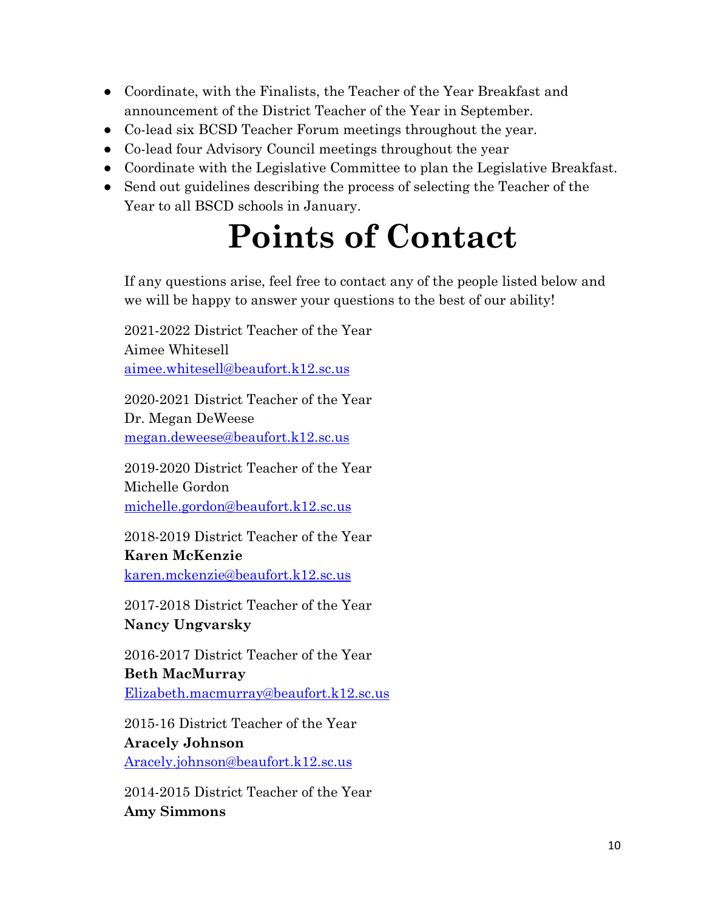- Coordinate, with the Finalists, the Teacher of the Year Breakfast and announcement of the District Teacher of the Year in September.
- Co-lead six BCSD Teacher Forum meetings throughout the year.
- Co-lead four Advisory Council meetings throughout the year
- Coordinate with the Legislative Committee to plan the Legislative Breakfast.
- Send out guidelines describing the process of selecting the Teacher of the Year to all BSCD schools in January.

# **Points of Contact**

If any questions arise, feel free to contact any of the people listed below and we will be happy to answer your questions to the best of our ability!

2021-2022 District Teacher of the Year Aimee Whitesell [aimee.whitesell@beaufort.k12.sc.us](mailto:aimee.whitesell@beaufort.k12.sc.us)

2020-2021 District Teacher of the Year Dr. Megan DeWeese [megan.deweese@beaufort.k12.sc.us](mailto:megan.deweese@beaufort.k12.sc.us)

2019-2020 District Teacher of the Year Michelle Gordon [michelle.gordon@beaufort.k12.sc.us](mailto:michelle.gordon@beaufort.k12.sc.us)

2018-2019 District Teacher of the Year **Karen McKenzie** [karen.mckenzie@beaufort.k12.sc.us](mailto:karen.mckenzie@beaufort.k12.sc.us)

2017-2018 District Teacher of the Year **Nancy Ungvarsky**

2016-2017 District Teacher of the Year **Beth MacMurray** [Elizabeth.macmurray@beaufort.k12.sc.us](mailto:Elizabeth.macmurray@beaufort.k12.sc.us)

2015-16 District Teacher of the Year **Aracely Johnson** [Aracely.johnson@beaufort.k12.sc.us](mailto:Aracely.johnson@beaufort.k12.sc.us)

2014-2015 District Teacher of the Year **Amy Simmons**